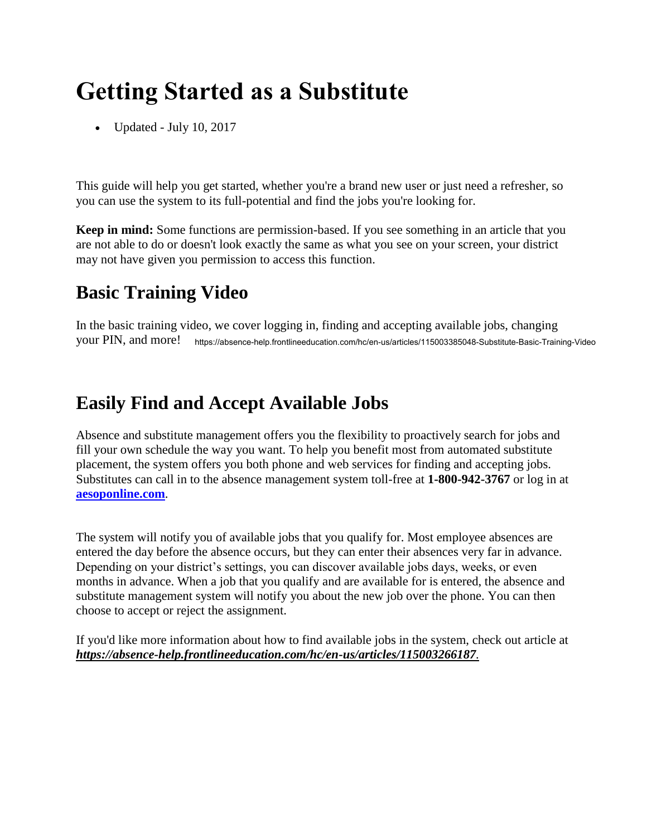# **Getting Started as a Substitute**

• Updated - July 10, 2017

This guide will help you get started, whether you're a brand new user or just need a refresher, so you can use the system to its full-potential and find the jobs you're looking for.

**Keep in mind:** Some functions are permission-based. If you see something in an article that you are not able to do or doesn't look exactly the same as what you see on your screen, your district may not have given you permission to access this function.

## **Basic Training Video**

In the basic training video, we cover logging in, finding and accepting available jobs, changing your PIN, and more! https://absence-help.frontlineeducation.com/hc/en-us/articles/115003385048-Substitute-Basic-Training-Video

### **Easily Find and Accept Available Jobs**

Absence and substitute management offers you the flexibility to proactively search for jobs and fill your own schedule the way you want. To help you benefit most from automated substitute placement, the system offers you both phone and web services for finding and accepting jobs. Substitutes can call in to the absence management system toll-free at **1-800-942-3767** or log in at **[aesoponline.com](http://www.aesoponline.com/)**.

The system will notify you of available jobs that you qualify for. Most employee absences are entered the day before the absence occurs, but they can enter their absences very far in advance. Depending on your district's settings, you can discover available jobs days, weeks, or even months in advance. When a job that you qualify and are available for is entered, the absence and substitute management system will notify you about the new job over the phone. You can then choose to accept or reject the assignment.

If you'd like more information about how to find available jobs in the system, check out [article](https://absence-help.frontlineeducation.com/hc/en-us/articles/115003266187) at *https://absence-help.frontlineeducation.com/hc/en-us/articles/115003266187.*